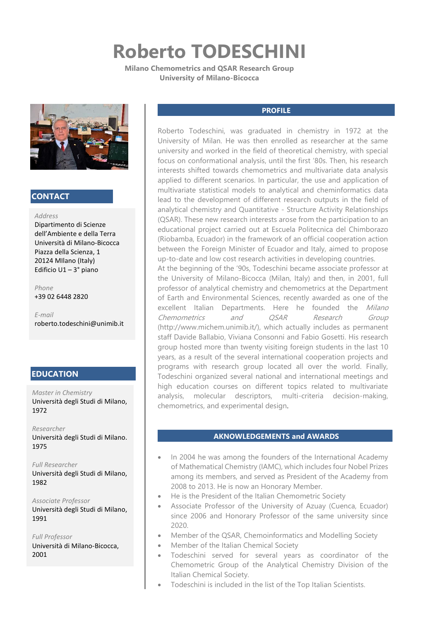# **Roberto TODESCHINI**

**Milano Chemometrics and QSAR Research Group University of Milano-Bicocca**



# **CONTACT**

#### *Address*

Dipartimento di Scienze dell'Ambiente e della Terra Università di Milano-Bicocca Piazza della Scienza, 1 20124 MIlano (Italy) Edificio U1 – 3° piano

*Phone* +39 02 6448 2820

*E-mail* roberto.todeschini@unimib.it

# **EDUCATION**

*Master in Chemistry* Università degli Studi di Milano, 1972

*Researcher* Università degli Studi di Milano. 1975

*Full Researcher* Università degli Studi di Milano, 1982

*Associate Professor* Università degli Studi di Milano, 1991

*Full Professor* Università di Milano-Bicocca, 2001

## **PROFILE**

Roberto Todeschini, was graduated in chemistry in 1972 at the University of Milan. He was then enrolled as researcher at the same university and worked in the field of theoretical chemistry, with special focus on conformational analysis, until the first '80s. Then, his research interests shifted towards chemometrics and multivariate data analysis applied to different scenarios. In particular, the use and application of multivariate statistical models to analytical and cheminformatics data lead to the development of different research outputs in the field of analytical chemistry and Quantitative - Structure Activity Relationships (QSAR). These new research interests arose from the participation to an educational project carried out at Escuela Politecnica del Chimborazo (Riobamba, Ecuador) in the framework of an official cooperation action between the Foreign Minister of Ecuador and Italy, aimed to propose up-to-date and low cost research activities in developing countries.

At the beginning of the '90s, Todeschini became associate professor at the University of Milano-Bicocca (Milan, Italy) and then, in 2001, full professor of analytical chemistry and chemometrics at the Department of Earth and Environmental Sciences, recently awarded as one of the excellent Italian Departments. Here he founded the *Milano* Chemometrics and QSAR Research Group (http://www.michem.unimib.it/), which actually includes as permanent staff Davide Ballabio, Viviana Consonni and Fabio Gosetti. His research group hosted more than twenty visiting foreign students in the last 10 years, as a result of the several international cooperation projects and programs with research group located all over the world. Finally, Todeschini organized several national and international meetings and high education courses on different topics related to multivariate analysis, molecular descriptors, multi-criteria decision-making, chemometrics, and experimental design.

### **AKNOWLEDGEMENTS and AWARDS**

- In 2004 he was among the founders of the International Academy of Mathematical Chemistry (IAMC), which includes four Nobel Prizes among its members, and served as President of the Academy from 2008 to 2013. He is now an Honorary Member.
- He is the President of the Italian Chemometric Society
- Associate Professor of the University of Azuay (Cuenca, Ecuador) since 2006 and Honorary Professor of the same university since 2020.
- Member of the QSAR, Chemoinformatics and Modelling Society
- Member of the Italian Chemical Society
- Todeschini served for several years as coordinator of the Chemometric Group of the Analytical Chemistry Division of the Italian Chemical Society.
- Todeschini is included in the list of the Top Italian Scientists.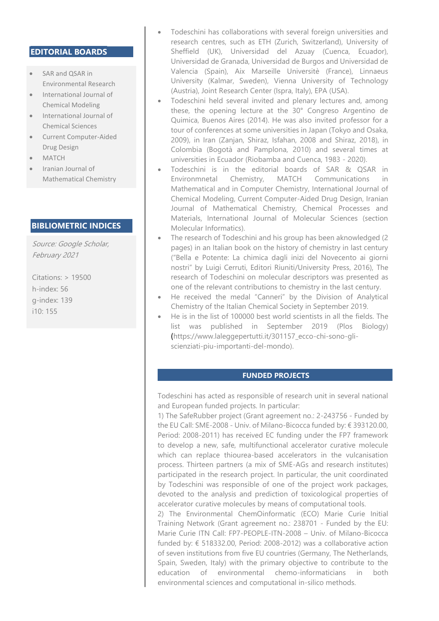# **EDITORIAL BOARDS**

- SAR and QSAR in Environmental Research
- International Journal of Chemical Modeling
- International Journal of Chemical Sciences
- Current Computer-Aided Drug Design
- MATCH
- Iranian Journal of Mathematical Chemistry

# **BIBLIOMETRIC INDICES**

Source: Google Scholar, February 2021

Citations: > 19500 h-index: 56 g-index: 139 i10: 155

- Todeschini has collaborations with several foreign universities and research centres, such as ETH (Zurich, Switzerland), University of Sheffield (UK), Universidad del Azuay (Cuenca, Ecuador), Universidad de Granada, Universidad de Burgos and Universidad de Valencia (Spain), Aix Marseille Universitè (France), Linnaeus University (Kalmar, Sweden), Vienna University of Technology (Austria), Joint Research Center (Ispra, Italy), EPA (USA).
- Todeschini held several invited and plenary lectures and, among these, the opening lecture at the 30° Congreso Argentino de Quimica, Buenos Aires (2014). He was also invited professor for a tour of conferences at some universities in Japan (Tokyo and Osaka, 2009), in Iran (Zanjan, Shiraz, Isfahan, 2008 and Shiraz, 2018), in Colombia (Bogotà and Pamplona, 2010) and several times at universities in Ecuador (Riobamba and Cuenca, 1983 - 2020).
- Todeschini is in the editorial boards of SAR & QSAR in Environmnetal Chemistry, MATCH Communications in Mathematical and in Computer Chemistry, International Journal of Chemical Modeling, Current Computer-Aided Drug Design, Iranian Journal of Mathematical Chemistry, Chemical Processes and Materials, International Journal of Molecular Sciences (section Molecular Informatics).
- The research of Todeschini and his group has been aknowledged (2 pages) in an Italian book on the history of chemistry in last century ("Bella e Potente: La chimica dagli inizi del Novecento ai giorni nostri" by Luigi Cerruti, Editori Riuniti/University Press, 2016), The research of Todeschini on molecular descriptors was presented as one of the relevant contributions to chemistry in the last century.
- He received the medal "Canneri" by the Division of Analytical Chemistry of the Italian Chemical Society in September 2019.
- He is in the list of 100000 best world scientists in all the fields. The list was published in September 2019 (Plos Biology) (https://www.laleggepertutti.it/301157\_ecco-chi-sono-gliscienziati-piu-importanti-del-mondo).

### **FUNDED PROJECTS**

Todeschini has acted as responsible of research unit in several national and European funded projects. In particular:

1) The SafeRubber project (Grant agreement no.: 2-243756 - Funded by the EU Call: SME-2008 - Univ. of Milano-Bicocca funded by: € 393120.00, Period: 2008-2011) has received EC funding under the FP7 framework to develop a new, safe, multifunctional accelerator curative molecule which can replace thiourea-based accelerators in the vulcanisation process. Thirteen partners (a mix of SME-AGs and research institutes) participated in the research project. In particular, the unit coordinated by Todeschini was responsible of one of the project work packages, devoted to the analysis and prediction of toxicological properties of accelerator curative molecules by means of computational tools.

2) The Environmental ChemOinformatic (ECO) Marie Curie Initial Training Network (Grant agreement no.: 238701 - Funded by the EU: Marie Curie ITN Call: FP7-PEOPLE-ITN-2008 – Univ. of Milano-Bicocca funded by: € 518332.00, Period: 2008-2012) was a collaborative action of seven institutions from five EU countries (Germany, The Netherlands, Spain, Sweden, Italy) with the primary objective to contribute to the education of environmental chemo-informaticians in both environmental sciences and computational in-silico methods.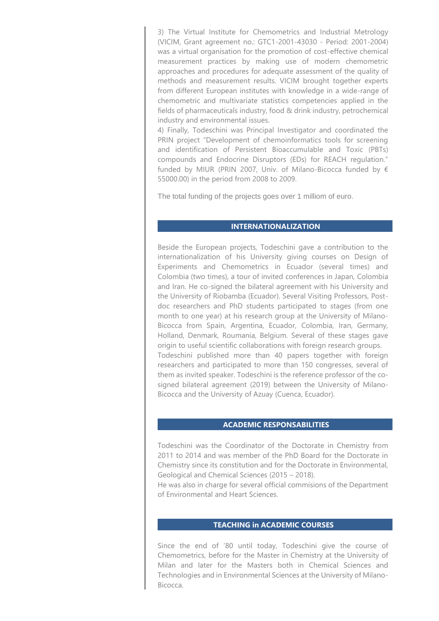3) The Virtual Institute for Chemometrics and Industrial Metrology (VICIM, Grant agreement no.: GTC1-2001-43030 - Period: 2001-2004) was a virtual organisation for the promotion of cost-effective chemical measurement practices by making use of modern chemometric approaches and procedures for adequate assessment of the quality of methods and measurement results. VICIM brought together experts from different European institutes with knowledge in a wide-range of chemometric and multivariate statistics competencies applied in the fields of pharmaceuticals industry, food & drink industry, petrochemical industry and environmental issues.

4) Finally, Todeschini was Principal Investigator and coordinated the PRIN project "Development of chemoinformatics tools for screening and identification of Persistent Bioaccumulable and Toxic (PBTs) compounds and Endocrine Disruptors (EDs) for REACH regulation." funded by MIUR (PRIN 2007, Univ. of Milano-Bicocca funded by € 55000.00) in the period from 2008 to 2009.

The total funding of the projects goes over 1 milliom of euro.

#### **INTERNATIONALIZATION**

Beside the European projects, Todeschini gave a contribution to the internationalization of his University giving courses on Design of Experiments and Chemometrics in Ecuador (several times) and Colombia (two times), a tour of invited conferences in Japan, Colombia and Iran. He co-signed the bilateral agreement with his University and the University of Riobamba (Ecuador). Several Visiting Professors, Postdoc researchers and PhD students participated to stages (from one month to one year) at his research group at the University of Milano-Bicocca from Spain, Argentina, Ecuador, Colombia, Iran, Germany, Holland, Denmark, Roumania, Belgium. Several of these stages gave origin to useful scientific collaborations with foreign research groups. Todeschini published more than 40 papers together with foreign researchers and participated to more than 150 congresses, several of them as invited speaker. Todeschini is the reference professor of the cosigned bilateral agreement (2019) between the University of Milano-Bicocca and the University of Azuay (Cuenca, Ecuador).

### **ACADEMIC RESPONSABILITIES**

Todeschini was the Coordinator of the Doctorate in Chemistry from 2011 to 2014 and was member of the PhD Board for the Doctorate in Chemistry since its constitution and for the Doctorate in Environmental, Geological and Chemical Sciences (2015 – 2018).

He was also in charge for several official commisions of the Department of Environmental and Heart Sciences.

### **TEACHING in ACADEMIC COURSES**

Since the end of '80 until today, Todeschini give the course of Chemometrics, before for the Master in Chemistry at the University of Milan and later for the Masters both in Chemical Sciences and Technologies and in Environmental Sciences at the University of Milano-Bicocca.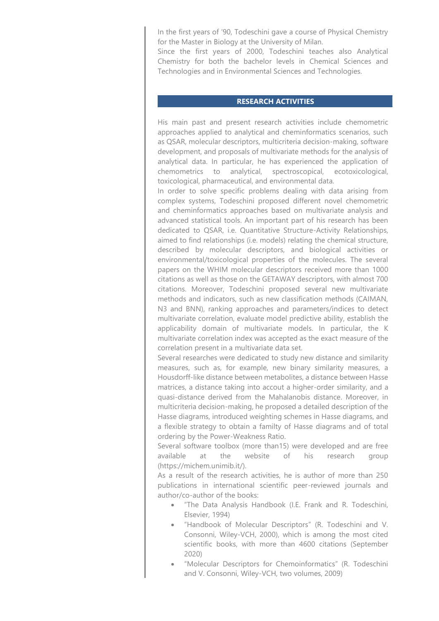In the first years of '90, Todeschini gave a course of Physical Chemistry for the Master in Biology at the University of Milan.

Since the first years of 2000, Todeschini teaches also Analytical Chemistry for both the bachelor levels in Chemical Sciences and Technologies and in Environmental Sciences and Technologies.

# **RESEARCH ACTIVITIES**

His main past and present research activities include chemometric approaches applied to analytical and cheminformatics scenarios, such as QSAR, molecular descriptors, multicriteria decision-making, software development, and proposals of multivariate methods for the analysis of analytical data. In particular, he has experienced the application of chemometrics to analytical, spectroscopical, ecotoxicological, toxicological, pharmaceutical, and environmental data.

In order to solve specific problems dealing with data arising from complex systems, Todeschini proposed different novel chemometric and cheminformatics approaches based on multivariate analysis and advanced statistical tools. An important part of his research has been dedicated to QSAR, i.e. Quantitative Structure-Activity Relationships, aimed to find relationships (i.e. models) relating the chemical structure, described by molecular descriptors, and biological activities or environmental/toxicological properties of the molecules. The several papers on the WHIM molecular descriptors received more than 1000 citations as well as those on the GETAWAY descriptors, with almost 700 citations. Moreover, Todeschini proposed several new multivariate methods and indicators, such as new classification methods (CAIMAN, N3 and BNN), ranking approaches and parameters/indices to detect multivariate correlation, evaluate model predictive ability, establish the applicability domain of multivariate models. In particular, the K multivariate correlation index was accepted as the exact measure of the correlation present in a multivariate data set.

Several researches were dedicated to study new distance and similarity measures, such as, for example, new binary similarity measures, a Housdorff-like distance between metabolites, a distance between Hasse matrices, a distance taking into accout a higher-order similarity, and a quasi-distance derived from the Mahalanobis distance. Moreover, in multicriteria decision-making, he proposed a detailed description of the Hasse diagrams, introduced weighting schemes in Hasse diagrams, and a flexible strategy to obtain a familty of Hasse diagrams and of total ordering by the Power-Weakness Ratio.

Several software toolbox (more than15) were developed and are free available at the website of his research group (https://michem.unimib.it/).

As a result of the research activities, he is author of more than 250 publications in international scientific peer-reviewed journals and author/co-author of the books:

- "The Data Analysis Handbook (I.E. Frank and R. Todeschini, Elsevier, 1994)
- "Handbook of Molecular Descriptors" (R. Todeschini and V. Consonni, Wiley-VCH, 2000), which is among the most cited scientific books, with more than 4600 citations (September 2020)
- "Molecular Descriptors for Chemoinformatics" (R. Todeschini and V. Consonni, Wiley-VCH, two volumes, 2009)